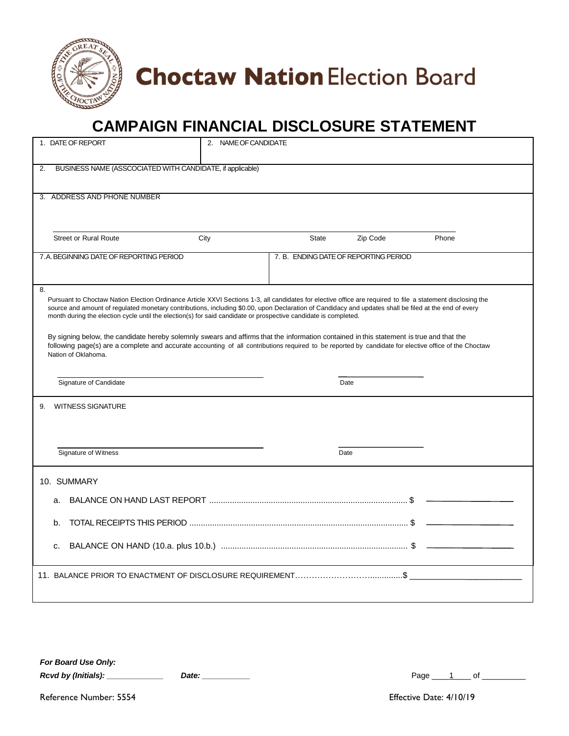

# **Choctaw Nation Election Board**

### **CAMPAIGN FINANCIAL DISCLOSURE STATEMENT**

| 1. DATE OF REPORT                                                                                                                                                                                                                                                                                                                                                                                                                             | 2. NAME OF CANDIDATE |                                       |       |
|-----------------------------------------------------------------------------------------------------------------------------------------------------------------------------------------------------------------------------------------------------------------------------------------------------------------------------------------------------------------------------------------------------------------------------------------------|----------------------|---------------------------------------|-------|
| BUSINESS NAME (ASSCOCIATED WITH CANDIDATE, if applicable)<br>2.                                                                                                                                                                                                                                                                                                                                                                               |                      |                                       |       |
| 3. ADDRESS AND PHONE NUMBER                                                                                                                                                                                                                                                                                                                                                                                                                   |                      |                                       |       |
| <b>Street or Rural Route</b>                                                                                                                                                                                                                                                                                                                                                                                                                  | City<br>State        | Zip Code                              | Phone |
| 7.A. BEGINNING DATE OF REPORTING PERIOD                                                                                                                                                                                                                                                                                                                                                                                                       |                      | 7. B. ENDING DATE OF REPORTING PERIOD |       |
| 8.<br>Pursuant to Choctaw Nation Election Ordinance Article XXVI Sections 1-3, all candidates for elective office are required to file a statement disclosing the<br>source and amount of regulated monetary contributions, including \$0.00, upon Declaration of Candidacy and updates shall be filed at the end of every<br>month during the election cycle until the election(s) for said candidate or prospective candidate is completed. |                      |                                       |       |
| By signing below, the candidate hereby solemnly swears and affirms that the information contained in this statement is true and that the<br>following page(s) are a complete and accurate accounting of all contributions required to be reported by candidate for elective office of the Choctaw<br>Nation of Oklahoma.                                                                                                                      |                      |                                       |       |
| Signature of Candidate                                                                                                                                                                                                                                                                                                                                                                                                                        |                      | Date                                  |       |
| <b>WITNESS SIGNATURE</b><br>9.                                                                                                                                                                                                                                                                                                                                                                                                                |                      |                                       |       |
| Signature of Witness                                                                                                                                                                                                                                                                                                                                                                                                                          |                      | Date                                  |       |
| 10. SUMMARY                                                                                                                                                                                                                                                                                                                                                                                                                                   |                      |                                       |       |
| a.                                                                                                                                                                                                                                                                                                                                                                                                                                            |                      |                                       |       |
| b.                                                                                                                                                                                                                                                                                                                                                                                                                                            |                      |                                       |       |
| c.                                                                                                                                                                                                                                                                                                                                                                                                                                            |                      |                                       |       |
|                                                                                                                                                                                                                                                                                                                                                                                                                                               |                      |                                       |       |

*For Board Use Only: Rcvd by (Initials): \_\_\_\_\_\_\_\_\_\_\_\_\_ Date: \_\_\_\_\_\_\_\_\_\_\_* Page \_\_\_\_1\_\_\_\_ of \_\_\_\_\_\_\_\_\_\_

| Date: |  |  |  |
|-------|--|--|--|
|       |  |  |  |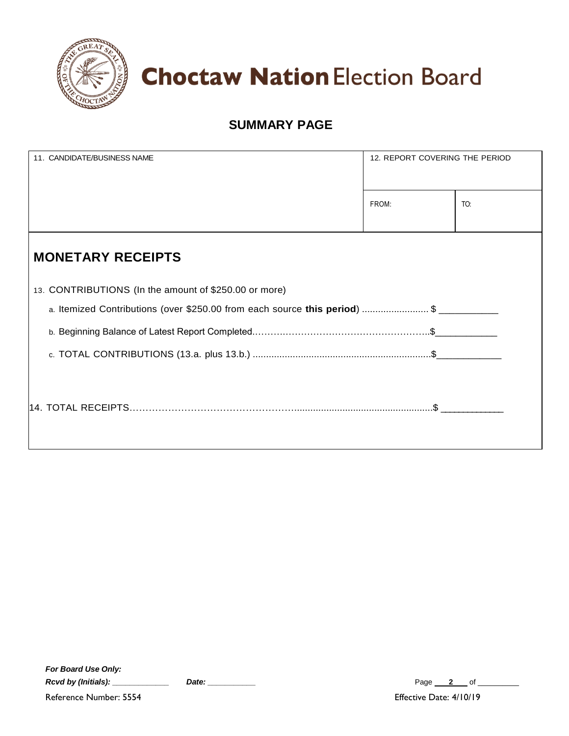

**Choctaw Nation Election Board** 

#### **SUMMARY PAGE**

| 11. CANDIDATE/BUSINESS NAME                           | 12. REPORT COVERING THE PERIOD |     |
|-------------------------------------------------------|--------------------------------|-----|
|                                                       | FROM:                          | TO: |
| <b>MONETARY RECEIPTS</b>                              |                                |     |
| 13. CONTRIBUTIONS (In the amount of \$250.00 or more) |                                |     |
|                                                       |                                |     |

| <b>For Board Use Only:</b> |       |
|----------------------------|-------|
| Rcvd by (Initials):        | Date: |

Reference Number: 5554 **Effective Date: 4/10/19** 

*Page* 2 of \_\_\_\_\_